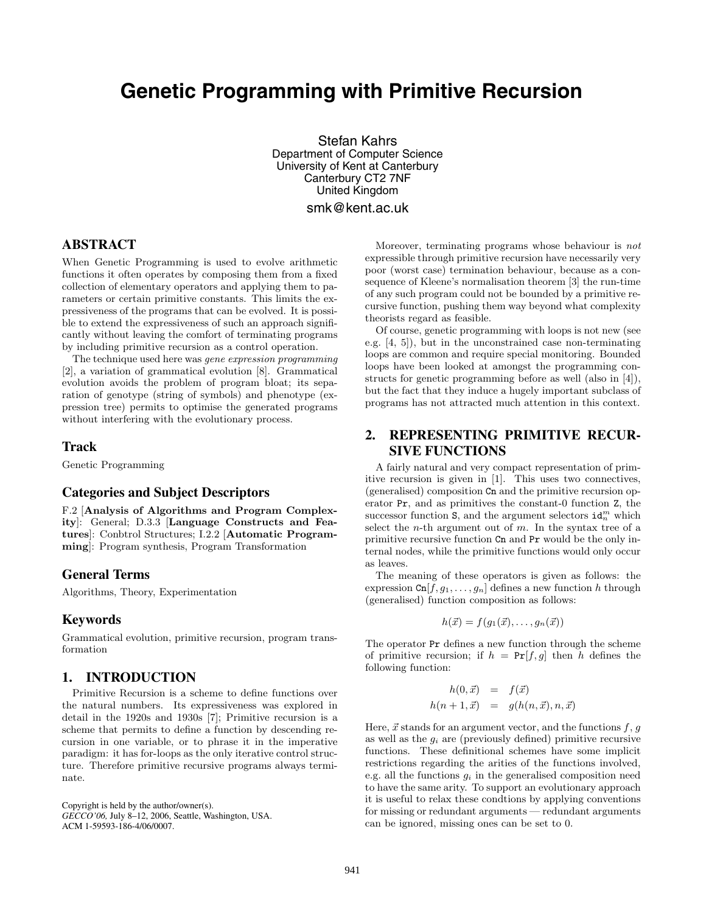# **Genetic Programming with Primitive Recursion**

Stefan Kahrs Department of Computer Science University of Kent at Canterbury Canterbury CT2 7NF United Kingdom smk@kent.ac.uk

**ABSTRACT**

When Genetic Programming is used to evolve arithmetic functions it often operates by composing them from a fixed collection of elementary operators and applying them to parameters or certain primitive constants. This limits the expressiveness of the programs that can be evolved. It is possible to extend the expressiveness of such an approach significantly without leaving the comfort of terminating programs by including primitive recursion as a control operation.

The technique used here was *gene expression programming* [2], a variation of grammatical evolution [8]. Grammatical evolution avoids the problem of program bloat; its separation of genotype (string of symbols) and phenotype (expression tree) permits to optimise the generated programs without interfering with the evolutionary process.

## **Track**

Genetic Programming

#### **Categories and Subject Descriptors**

F.2 [**Analysis of Algorithms and Program Complexity**]: General; D.3.3 [**Language Constructs and Features**]: Conbtrol Structures; I.2.2 [**Automatic Programming**]: Program synthesis, Program Transformation

#### **General Terms**

Algorithms, Theory, Experimentation

## **Keywords**

Grammatical evolution, primitive recursion, program transformation

## **1. INTRODUCTION**

Primitive Recursion is a scheme to define functions over the natural numbers. Its expressiveness was explored in detail in the 1920s and 1930s [7]; Primitive recursion is a scheme that permits to define a function by descending recursion in one variable, or to phrase it in the imperative paradigm: it has for-loops as the only iterative control structure. Therefore primitive recursive programs always terminate.

Copyright is held by the author/owner(s). *GECCO'06,* July 8–12, 2006, Seattle, Washington, USA. ACM 1-59593-186-4/06/0007.

Moreover, terminating programs whose behaviour is *not* expressible through primitive recursion have necessarily very poor (worst case) termination behaviour, because as a consequence of Kleene's normalisation theorem [3] the run-time of any such program could not be bounded by a primitive recursive function, pushing them way beyond what complexity theorists regard as feasible.

Of course, genetic programming with loops is not new (see e.g. [4, 5]), but in the unconstrained case non-terminating loops are common and require special monitoring. Bounded loops have been looked at amongst the programming constructs for genetic programming before as well (also in [4]), but the fact that they induce a hugely important subclass of programs has not attracted much attention in this context.

## **2. REPRESENTING PRIMITIVE RECUR-SIVE FUNCTIONS**

A fairly natural and very compact representation of primitive recursion is given in [1]. This uses two connectives, (generalised) composition Cn and the primitive recursion operator Pr, and as primitives the constant-0 function Z, the successor function  $S$ , and the argument selectors  $id_n^m$  which select the *n*-th argument out of  $m$ . In the syntax tree of a primitive recursive function Cn and Pr would be the only internal nodes, while the primitive functions would only occur as leaves.

The meaning of these operators is given as follows: the expression  $\text{Cn}[f,g_1,\ldots,g_n]$  defines a new function h through (generalised) function composition as follows:

$$
h(\vec{x}) = f(g_1(\vec{x}), \ldots, g_n(\vec{x}))
$$

The operator Pr defines a new function through the scheme of primitive recursion; if  $h = Pr[f, g]$  then h defines the following function:

$$
h(0, \vec{x}) = f(\vec{x})
$$
  

$$
h(n+1, \vec{x}) = g(h(n, \vec{x}), n, \vec{x})
$$

Here,  $\vec{x}$  stands for an argument vector, and the functions  $f, g$ <br>as well as the  $g$ , are (previously defined) primitive recursive as well as the <sup>g</sup>*<sup>i</sup>* are (previously defined) primitive recursive functions. These definitional schemes have some implicit restrictions regarding the arities of the functions involved, e.g. all the functions <sup>g</sup>*<sup>i</sup>* in the generalised composition need to have the same arity. To support an evolutionary approach it is useful to relax these condtions by applying conventions for missing or redundant arguments — redundant arguments can be ignored, missing ones can be set to 0.